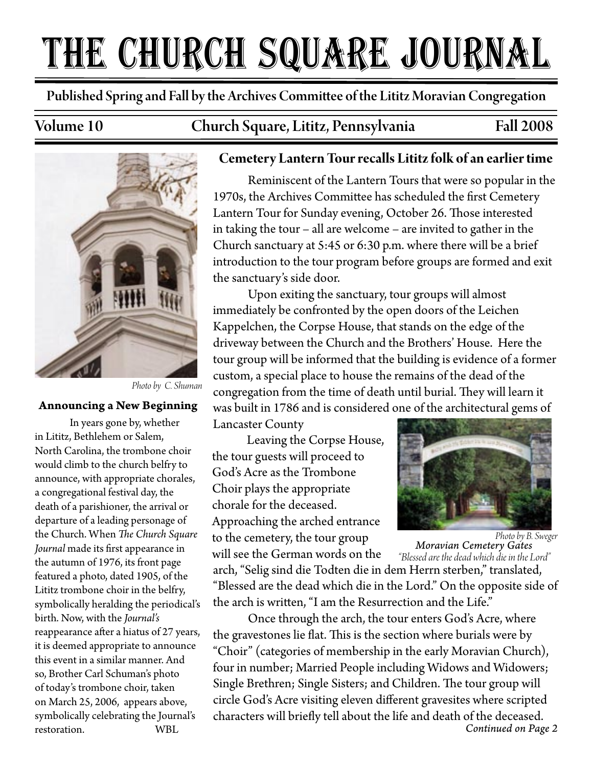# THE CHURCH SQUARE JOURNAL

Published Spring and Fall by the Archives Commi�ee of the Lititz Moravian Congregation

Volume 10 Church Square, Lititz, Pennsylvania Fall 2008



*Photo by C. Shuman*

#### **Announcing a New Beginning**

In years gone by, whether in Lititz, Bethlehem or Salem, North Carolina, the trombone choir would climb to the church belfry to announce, with appropriate chorales, a congregational festival day, the death of a parishioner, the arrival or departure of a leading personage of the Church. When *The Church Square* Journal made its first appearance in the autumn of 1976, its front page featured a photo, dated 1905, of the Lititz trombone choir in the belfry, symbolically heralding the periodical's birth. Now, with the *Journal's*  reappearance after a hiatus of 27 years, it is deemed appropriate to announce this event in a similar manner. And so, Brother Carl Schuman's photo of today's trombone choir, taken on March 25, 2006, appears above, symbolically celebrating the Journal's restoration. WBL

#### **Cemetery Lantern Tour recalls Lititz folk of an earlier time**

Reminiscent of the Lantern Tours that were so popular in the 1970s, the Archives Committee has scheduled the first Cemetery Lantern Tour for Sunday evening, October 26. Those interested in taking the tour – all are welcome – are invited to gather in the Church sanctuary at 5:45 or 6:30 p.m. where there will be a brief introduction to the tour program before groups are formed and exit the sanctuary's side door.

Upon exiting the sanctuary, tour groups will almost immediately be confronted by the open doors of the Leichen Kappelchen, the Corpse House, that stands on the edge of the driveway between the Church and the Brothers' House. Here the tour group will be informed that the building is evidence of a former custom, a special place to house the remains of the dead of the congregation from the time of death until burial. They will learn it was built in 1786 and is considered one of the architectural gems of

Lancaster County

Leaving the Corpse House, the tour guests will proceed to God's Acre as the Trombone Choir plays the appropriate chorale for the deceased. Approaching the arched entrance to the cemetery, the tour group



will see the German words on the *Moravian Cemetery Gates* arch, "Selig sind die Todten die in dem Herrn sterben," translated, "Blessed are the dead which die in the Lord." On the opposite side of the arch is written, "I am the Resurrection and the Life." *Photo by B. Sweger "Blessed are the dead which die in the Lord"*

Once through the arch, the tour enters God's Acre, where the gravestones lie flat. This is the section where burials were by "Choir" (categories of membership in the early Moravian Church), four in number; Married People including Widows and Widowers; Single Brethren; Single Sisters; and Children. The tour group will circle God's Acre visiting eleven different gravesites where scripted characters will briefly tell about the life and death of the deceased. *Continued on Page 2*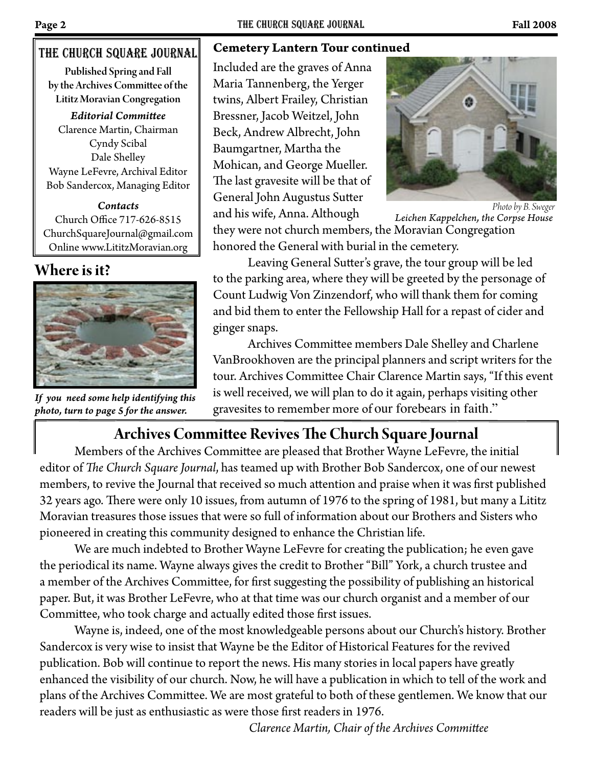#### The church square Journal

Published Spring and Fall by the Archives Commi�ee of the Lititz Moravian Congregation

*Editorial Commi�ee* Clarence Martin, Chairman Cyndy Scibal Dale Shelley Wayne LeFevre, Archival Editor Bob Sandercox, Managing Editor

*Contacts* Church Office 717-626-8515 ChurchSquareJournal@gmail.com Online www.LititzMoravian.org

### **Where is it?**



*If you need some help identifying this photo, turn to page 5 for the answer.*

#### **Cemetery Lantern Tour continued**

Included are the graves of Anna Maria Tannenberg, the Yerger twins, Albert Frailey, Christian Bressner, Jacob Weitzel, John Beck, Andrew Albrecht, John Baumgartner, Martha the Mohican, and George Mueller. The last gravesite will be that of General John Augustus Sutter and his wife, Anna. Although



*Leichen Kappelchen, the Corpse House Photo by B. Sweger*

they were not church members, the Moravian Congregation honored the General with burial in the cemetery.

Leaving General Sutter's grave, the tour group will be led to the parking area, where they will be greeted by the personage of Count Ludwig Von Zinzendorf, who will thank them for coming and bid them to enter the Fellowship Hall for a repast of cider and ginger snaps.

Archives Committee members Dale Shelley and Charlene VanBrookhoven are the principal planners and script writers for the tour. Archives Committee Chair Clarence Martin says, "If this event is well received, we will plan to do it again, perhaps visiting other gravesites to remember more of our forebears in faith."

# **Archives Commi�ee Revives �e Church Square Journal**

Members of the Archives Committee are pleased that Brother Wayne LeFevre, the initial editor of *The Church Square Journal*, has teamed up with Brother Bob Sandercox, one of our newest members, to revive the Journal that received so much attention and praise when it was first published 32 years ago. There were only 10 issues, from autumn of 1976 to the spring of 1981, but many a Lititz Moravian treasures those issues that were so full of information about our Brothers and Sisters who pioneered in creating this community designed to enhance the Christian life.

 We are much indebted to Brother Wayne LeFevre for creating the publication; he even gave the periodical its name. Wayne always gives the credit to Brother "Bill" York, a church trustee and a member of the Archives Committee, for first suggesting the possibility of publishing an historical paper. But, it was Brother LeFevre, who at that time was our church organist and a member of our Committee, who took charge and actually edited those first issues.

 Wayne is, indeed, one of the most knowledgeable persons about our Church's history. Brother Sandercox is very wise to insist that Wayne be the Editor of Historical Features for the revived publication. Bob will continue to report the news. His many stories in local papers have greatly enhanced the visibility of our church. Now, he will have a publication in which to tell of the work and plans of the Archives Committee. We are most grateful to both of these gentlemen. We know that our readers will be just as enthusiastic as were those first readers in 1976.

 *Clarence Martin, Chair of the Archives Commi�ee*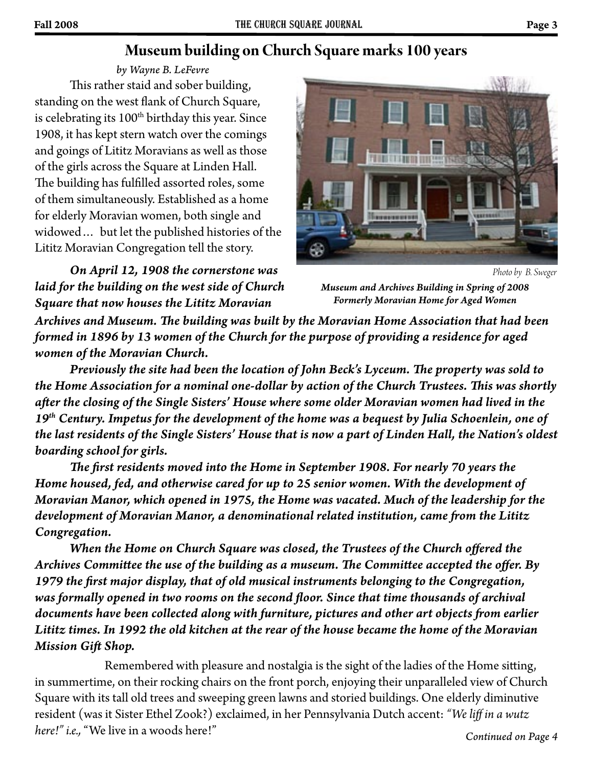# **Museum building on Church Square marks 100 years**

This rather staid and sober building, standing on the west flank of Church Square, is celebrating its  $100<sup>th</sup>$  birthday this year. Since 1908, it has kept stern watch over the comings and goings of Lititz Moravians as well as those of the girls across the Square at Linden Hall. The building has fulfilled assorted roles, some of them simultaneously. Established as a home for elderly Moravian women, both single and widowed… but let the published histories of the Lititz Moravian Congregation tell the story. *by Wayne B. LeFevre*

*On April 12, 1908 the cornerstone was laid for the building on the west side of Church Square that now houses the Lititz Moravian* 



*Photo by B. Sweger*

*Museum and Archives Building in Spring of 2008 Formerly Moravian Home for Aged Women*

Archives and Museum. The building was built by the Moravian Home Association that had been *formed in 1896 by 13 women of the Church for the purpose of providing a residence for aged women of the Moravian Church.* 

*Previously the site had been the location of John Beck's Lyceum. The property was sold to* the Home Association for a nominal one-dollar by action of the Church Trustees. This was shortly *a�er the closing of the Single Sisters' House where some older Moravian women had lived in the 19th Century. Impetus for the development of the home was a bequest by Julia Schoenlein, one of the last residents of the Single Sisters' House that is now a part of Linden Hall, the Nation's oldest boarding school for girls.*

*�e �rst residents moved into the Home in September 1908. For nearly 70 years the Home housed, fed, and otherwise cared for up to 25 senior women. With the development of Moravian Manor, which opened in 1975, the Home was vacated. Much of the leadership for the*  development of Moravian Manor, a denominational related institution, came from the Lititz *Congregation.*

 *When the Home on Church Square was closed, the Trustees of the Church offered the*  Archives Committee the use of the building as a museum. The Committee accepted the offer. By *1979 the �rst major display, that of old musical instruments belonging to the Congregation,*  was formally opened in two rooms on the second floor. Since that time thousands of archival documents have been collected along with furniture, pictures and other art objects from earlier *Lititz times. In 1992 the old kitchen at the rear of the house became the home of the Moravian Mission Gi� Shop.*

Remembered with pleasure and nostalgia is the sight of the ladies of the Home sitting, in summertime, on their rocking chairs on the front porch, enjoying their unparalleled view of Church Square with its tall old trees and sweeping green lawns and storied buildings. One elderly diminutive resident (was it Sister Ethel Zook?) exclaimed, in her Pennsylvania Dutch accent: *"We liff in a wutz here!" i.e.,* "We live in a woods here!" *Continued on Page 4*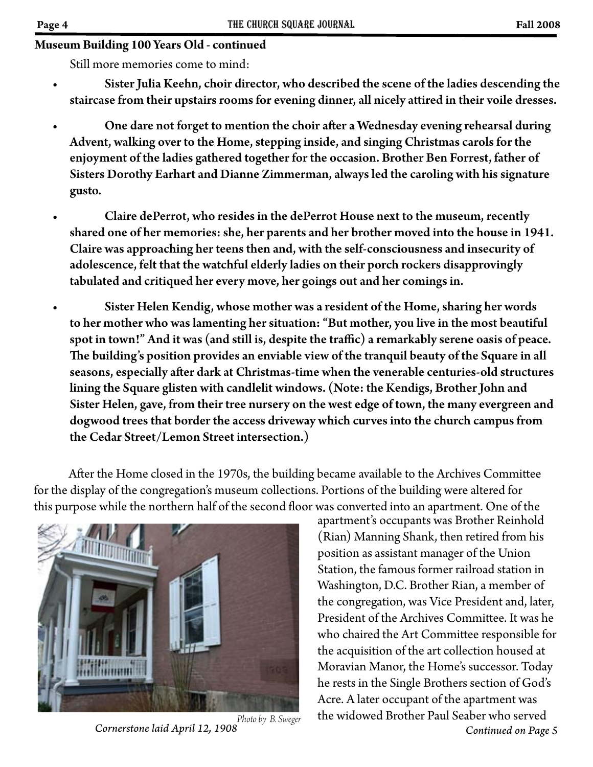#### **Museum Building 100 Years Old - continued**

Still more memories come to mind:

- Sister Julia Keehn, choir director, who described the scene of the ladies descending the staircase from their upstairs rooms for evening dinner, all nicely attired in their voile dresses.
- One dare not forget to mention the choir a�er a Wednesday evening rehearsal during Advent, walking over to the Home, stepping inside, and singing Christmas carols for the enjoyment of the ladies gathered together for the occasion. Brother Ben Forrest, father of Sisters Dorothy Earhart and Dianne Zimmerman, always led the caroling with his signature gusto.
- Claire dePerrot, who resides in the dePerrot House next to the museum, recently shared one of her memories: she, her parents and her brother moved into the house in 1941. Claire was approaching her teens then and, with the self-consciousness and insecurity of adolescence, felt that the watchful elderly ladies on their porch rockers disapprovingly tabulated and critiqued her every move, her goings out and her comings in.
- Sister Helen Kendig, whose mother was a resident of the Home, sharing her words to her mother who was lamenting her situation: "But mother, you live in the most beautiful spot in town!" And it was (and still is, despite the traffic) a remarkably serene oasis of peace. �e building's position provides an enviable view of the tranquil beauty of the Square in all seasons, especially after dark at Christmas-time when the venerable centuries-old structures lining the Square glisten with candlelit windows. (Note: the Kendigs, Brother John and Sister Helen, gave, from their tree nursery on the west edge of town, the many evergreen and dogwood trees that border the access driveway which curves into the church campus from the Cedar Street/Lemon Street intersection.)

After the Home closed in the 1970s, the building became available to the Archives Committee for the display of the congregation's museum collections. Portions of the building were altered for this purpose while the northern half of the second floor was converted into an apartment. One of the



*Photo by B. Sweger*

apartment's occupants was Brother Reinhold (Rian) Manning Shank, then retired from his position as assistant manager of the Union Station, the famous former railroad station in Washington, D.C. Brother Rian, a member of the congregation, was Vice President and, later, President of the Archives Committee. It was he who chaired the Art Committee responsible for the acquisition of the art collection housed at Moravian Manor, the Home's successor. Today he rests in the Single Brothers section of God's Acre. A later occupant of the apartment was the widowed Brother Paul Seaber who served *Cornerstone laid April 12, 1908 Continued on Page 5*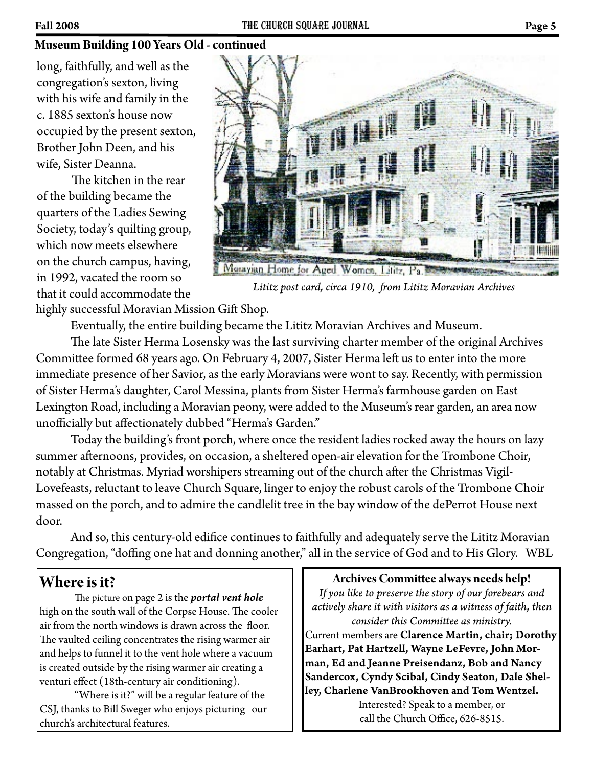#### **Museum Building 100 Years Old - continued**

long, faithfully, and well as the congregation's sexton, living with his wife and family in the c. 1885 sexton's house now occupied by the present sexton, Brother John Deen, and his wife, Sister Deanna.

The kitchen in the rear of the building became the quarters of the Ladies Sewing Society, today's quilting group, which now meets elsewhere on the church campus, having, in 1992, vacated the room so that it could accommodate the



*Lititz post card, circa 1910, �om Lititz Moravian Archives*

highly successful Moravian Mission Gift Shop.

Eventually, the entire building became the Lititz Moravian Archives and Museum.

The late Sister Herma Losensky was the last surviving charter member of the original Archives Committee formed 68 years ago. On February 4, 2007, Sister Herma left us to enter into the more immediate presence of her Savior, as the early Moravians were wont to say. Recently, with permission of Sister Herma's daughter, Carol Messina, plants from Sister Herma's farmhouse garden on East Lexington Road, including a Moravian peony, were added to the Museum's rear garden, an area now unofficially but affectionately dubbed "Herma's Garden."

 Today the building's front porch, where once the resident ladies rocked away the hours on lazy summer afternoons, provides, on occasion, a sheltered open-air elevation for the Trombone Choir, notably at Christmas. Myriad worshipers streaming out of the church after the Christmas Vigil-Lovefeasts, reluctant to leave Church Square, linger to enjoy the robust carols of the Trombone Choir massed on the porch, and to admire the candlelit tree in the bay window of the dePerrot House next door.

And so, this century-old edifice continues to faithfully and adequately serve the Lititz Moravian Congregation, "doffing one hat and donning another," all in the service of God and to His Glory. WBL

# **Where is it?**

�e picture on page 2 is the *portal vent hole* high on the south wall of the Corpse House. The cooler air from the north windows is drawn across the floor. The vaulted ceiling concentrates the rising warmer air and helps to funnel it to the vent hole where a vacuum is created outside by the rising warmer air creating a venturi effect (18th-century air conditioning).

 "Where is it?" will be a regular feature of the CSJ, thanks to Bill Sweger who enjoys picturing our church's architectural features.

#### **Archives Commi�ee always needs help!**

*If you like to preserve the story of our forebears and actively share it with visitors as a witness of faith, then consider this Commi�ee as ministry.* Current members are Clarence Martin, chair; Dorothy Earhart, Pat Hartzell, Wayne LeFevre, John Morman, Ed and Jeanne Preisendanz, Bob and Nancy Sandercox, Cyndy Scibal, Cindy Seaton, Dale Shelley, Charlene VanBrookhoven and Tom Wentzel. Interested? Speak to a member, or call the Church Office, 626-8515.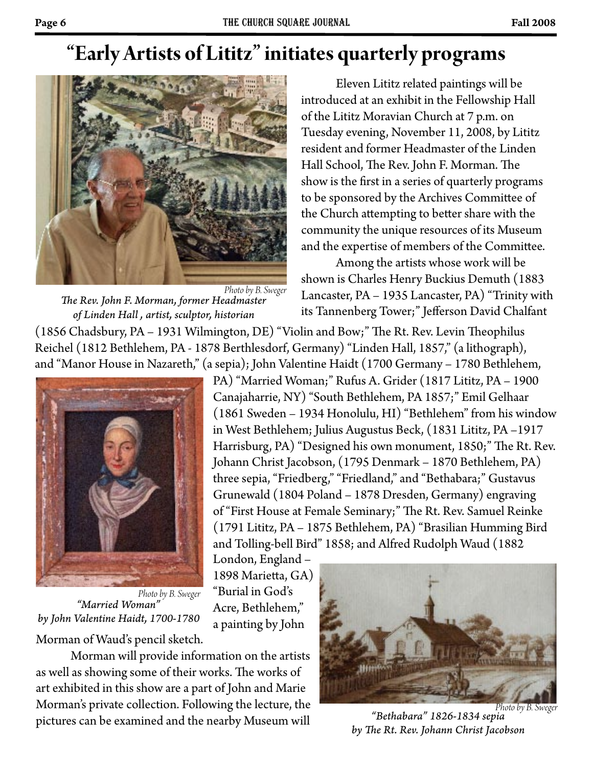# **"Early Artists of Lititz" initiates quarterly programs**



*�e Rev. John F. Morman, former Headmaster of Linden Hall , artist, sculptor, historian Photo by B. Sweger*

Eleven Lititz related paintings will be introduced at an exhibit in the Fellowship Hall of the Lititz Moravian Church at 7 p.m. on Tuesday evening, November 11, 2008, by Lititz resident and former Headmaster of the Linden Hall School, The Rev. John F. Morman. The show is the first in a series of quarterly programs to be sponsored by the Archives Committee of the Church attempting to better share with the community the unique resources of its Museum and the expertise of members of the Committee.

 Among the artists whose work will be shown is Charles Henry Buckius Demuth (1883 Lancaster, PA – 1935 Lancaster, PA) "Trinity with its Tannenberg Tower;" Jefferson David Chalfant

PA) "Married Woman;" Rufus A. Grider (1817 Lititz, PA – 1900 Canajaharrie, NY) "South Bethlehem, PA 1857;" Emil Gelhaar

and Tolling-bell Bird" 1858; and Alfred Rudolph Waud (1882

(1861 Sweden – 1934 Honolulu, HI) "Bethlehem" from his window in West Bethlehem; Julius Augustus Beck, (1831 Lititz, PA –1917 Harrisburg, PA) "Designed his own monument, 1850;" The Rt. Rev. Johann Christ Jacobson, (1795 Denmark – 1870 Bethlehem, PA) three sepia, "Friedberg," "Friedland," and "Bethabara;" Gustavus Grunewald (1804 Poland – 1878 Dresden, Germany) engraving of "First House at Female Seminary;" The Rt. Rev. Samuel Reinke (1791 Lititz, PA – 1875 Bethlehem, PA) "Brasilian Humming Bird

(1856 Chadsbury, PA – 1931 Wilmington, DE) "Violin and Bow;" The Rt. Rev. Levin Theophilus Reichel (1812 Bethlehem, PA - 1878 Berthlesdorf, Germany) "Linden Hall, 1857," (a lithograph), and "Manor House in Nazareth," (a sepia); John Valentine Haidt (1700 Germany – 1780 Bethlehem,



*"Married Woman" by John Valentine Haidt, 1700-1780* Morman of Waud's pencil sketch. *Photo by B. Sweger*

London, England – 1898 Marietta, GA) "Burial in God's Acre, Bethlehem," a painting by John

 Morman will provide information on the artists as well as showing some of their works. The works of art exhibited in this show are a part of John and Marie Morman's private collection. Following the lecture, the pictures can be examined and the nearby Museum will



*"Bethabara" 1826-1834 sepia by �e Rt. Rev. Johann Christ Jacobson Photo by B. Sweger*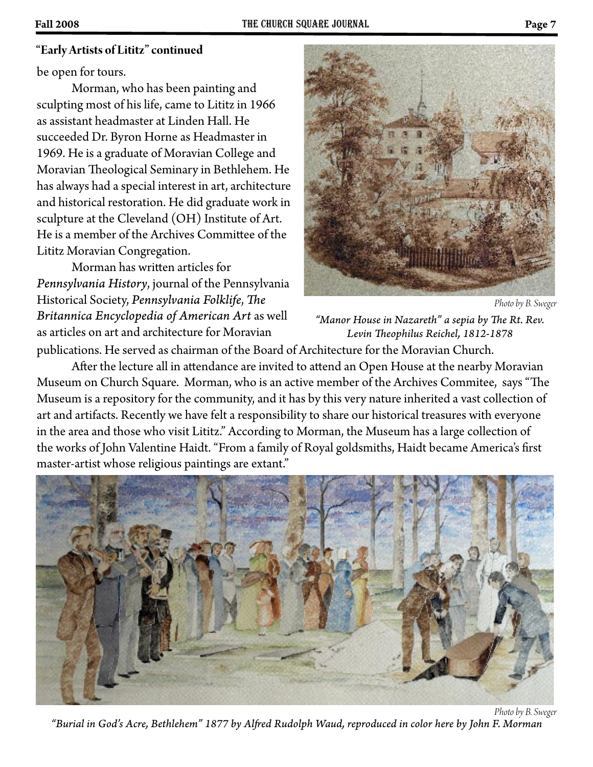#### **"Early Artists of Lititz" continued**

be open for tours.

Morman, who has been painting and sculpting most of his life, came to Lititz in 1966 as assistant headmaster at Linden Hall. He succeeded Dr. Byron Horne as Headmaster in 1969. He is a graduate of Moravian College and Moravian Theological Seminary in Bethlehem. He has always had a special interest in art, architecture and historical restoration. He did graduate work in sculpture at the Cleveland (OH) Institute of Art. He is a member of the Archives Committee of the Lititz Moravian Congregation.

Morman has written articles for *Pennsylvania History*, journal of the Pennsylvania Historical Society, *Pennsylvania Folklife*, *The Britannica Encyclopedia of American Art* as well as articles on art and architecture for Moravian

*Photo by B. Sweger*

"Manor House in Nazareth" a sepia by The Rt. Rev. Levin Theophilus Reichel, 1812-1878

publications. He served as chairman of the Board of Architecture for the Moravian Church.

After the lecture all in attendance are invited to attend an Open House at the nearby Moravian Museum on Church Square. Morman, who is an active member of the Archives Commitee, says "The Museum is a repository for the community, and it has by this very nature inherited a vast collection of art and artifacts. Recently we have felt a responsibility to share our historical treasures with everyone in the area and those who visit Lititz." According to Morman, the Museum has a large collection of the works of John Valentine Haidt. "From a family of Royal goldsmiths, Haidt became America's first master-artist whose religious paintings are extant."



*"Burial in God's Acre, Bethlehem" 1877 by Al�ed Rudolph Waud, reproduced in color here by John F. Morman Photo by B. Sweger*